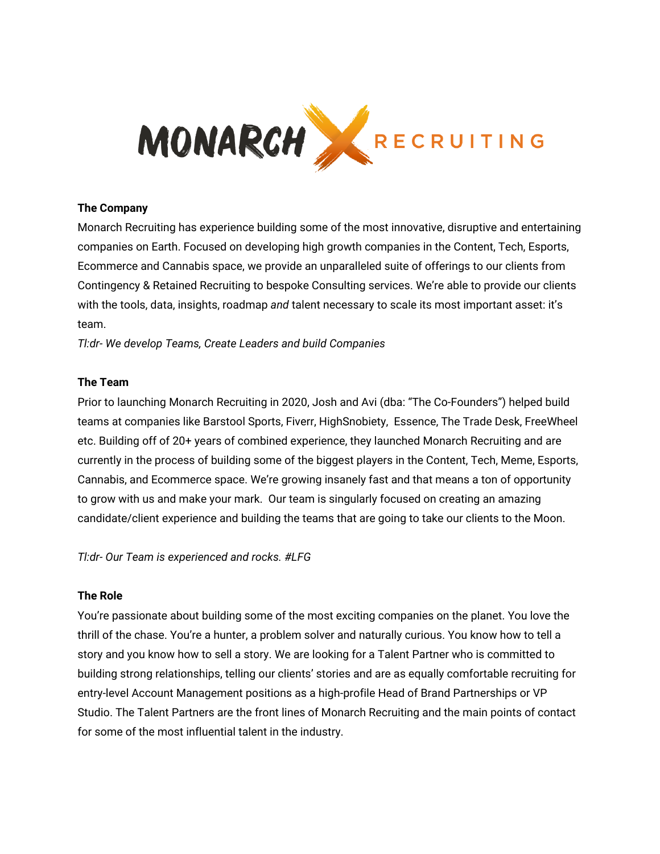

### **The Company**

Monarch Recruiting has experience building some of the most innovative, disruptive and entertaining companies on Earth. Focused on developing high growth companies in the Content, Tech, Esports, Ecommerce and Cannabis space, we provide an unparalleled suite of offerings to our clients from Contingency & Retained Recruiting to bespoke Consulting services. We're able to provide our clients with the tools, data, insights, roadmap *and* talent necessary to scale its most important asset: it's team.

*Tl:dr- We develop Teams, Create Leaders and build Companies*

#### **The Team**

Prior to launching Monarch Recruiting in 2020, Josh and Avi (dba: "The Co-Founders") helped build teams at companies like Barstool Sports, Fiverr, HighSnobiety, Essence, The Trade Desk, FreeWheel etc. Building off of 20+ years of combined experience, they launched Monarch Recruiting and are currently in the process of building some of the biggest players in the Content, Tech, Meme, Esports, Cannabis, and Ecommerce space. We're growing insanely fast and that means a ton of opportunity to grow with us and make your mark. Our team is singularly focused on creating an amazing candidate/client experience and building the teams that are going to take our clients to the Moon.

*Tl:dr- Our Team is experienced and rocks. #LFG*

#### **The Role**

You're passionate about building some of the most exciting companies on the planet. You love the thrill of the chase. You're a hunter, a problem solver and naturally curious. You know how to tell a story and you know how to sell a story. We are looking for a Talent Partner who is committed to building strong relationships, telling our clients' stories and are as equally comfortable recruiting for entry-level Account Management positions as a high-profile Head of Brand Partnerships or VP Studio. The Talent Partners are the front lines of Monarch Recruiting and the main points of contact for some of the most influential talent in the industry.